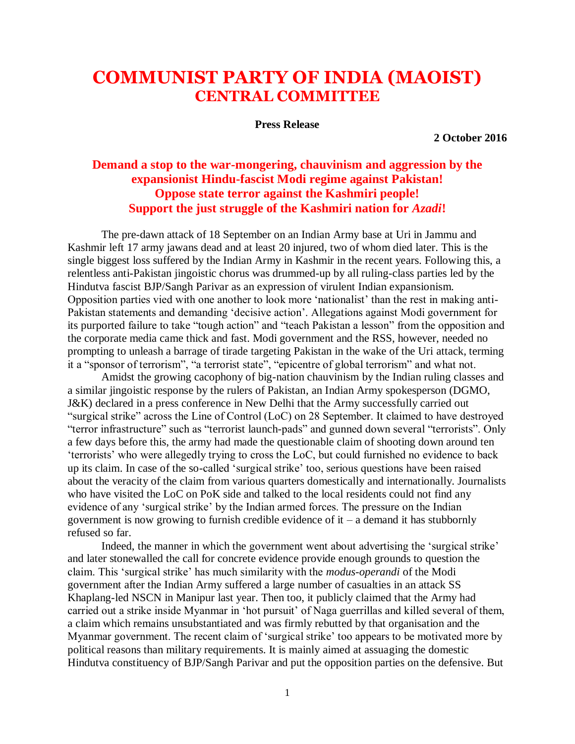## **COMMUNIST PARTY OF INDIA (MAOIST) CENTRAL COMMITTEE**

**Press Release**

**2 October 2016**

## **Demand a stop to the war-mongering, chauvinism and aggression by the expansionist Hindu-fascist Modi regime against Pakistan! Oppose state terror against the Kashmiri people! Support the just struggle of the Kashmiri nation for** *Azadi***!**

The pre-dawn attack of 18 September on an Indian Army base at Uri in Jammu and Kashmir left 17 army jawans dead and at least 20 injured, two of whom died later. This is the single biggest loss suffered by the Indian Army in Kashmir in the recent years. Following this, a relentless anti-Pakistan jingoistic chorus was drummed-up by all ruling-class parties led by the Hindutva fascist BJP/Sangh Parivar as an expression of virulent Indian expansionism. Opposition parties vied with one another to look more 'nationalist' than the rest in making anti-Pakistan statements and demanding 'decisive action'. Allegations against Modi government for its purported failure to take "tough action" and "teach Pakistan a lesson" from the opposition and the corporate media came thick and fast. Modi government and the RSS, however, needed no prompting to unleash a barrage of tirade targeting Pakistan in the wake of the Uri attack, terming it a "sponsor of terrorism", "a terrorist state", "epicentre of global terrorism" and what not.

Amidst the growing cacophony of big-nation chauvinism by the Indian ruling classes and a similar jingoistic response by the rulers of Pakistan, an Indian Army spokesperson (DGMO, J&K) declared in a press conference in New Delhi that the Army successfully carried out "surgical strike" across the Line of Control (LoC) on 28 September. It claimed to have destroyed "terror infrastructure" such as "terrorist launch-pads" and gunned down several "terrorists". Only a few days before this, the army had made the questionable claim of shooting down around ten 'terrorists' who were allegedly trying to cross the LoC, but could furnished no evidence to back up its claim. In case of the so-called 'surgical strike' too, serious questions have been raised about the veracity of the claim from various quarters domestically and internationally. Journalists who have visited the LoC on PoK side and talked to the local residents could not find any evidence of any 'surgical strike' by the Indian armed forces. The pressure on the Indian government is now growing to furnish credible evidence of it – a demand it has stubbornly refused so far.

Indeed, the manner in which the government went about advertising the 'surgical strike' and later stonewalled the call for concrete evidence provide enough grounds to question the claim. This 'surgical strike' has much similarity with the *modus-operandi* of the Modi government after the Indian Army suffered a large number of casualties in an attack SS Khaplang-led NSCN in Manipur last year. Then too, it publicly claimed that the Army had carried out a strike inside Myanmar in 'hot pursuit' of Naga guerrillas and killed several of them, a claim which remains unsubstantiated and was firmly rebutted by that organisation and the Myanmar government. The recent claim of 'surgical strike' too appears to be motivated more by political reasons than military requirements. It is mainly aimed at assuaging the domestic Hindutva constituency of BJP/Sangh Parivar and put the opposition parties on the defensive. But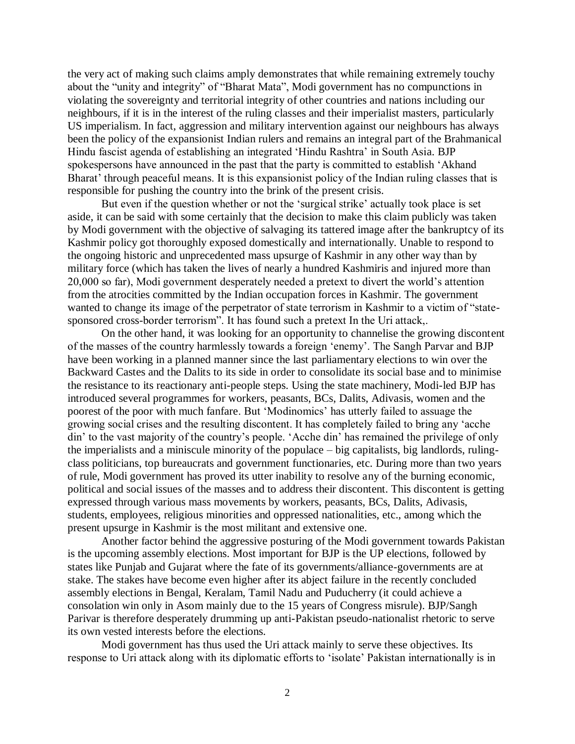the very act of making such claims amply demonstrates that while remaining extremely touchy about the "unity and integrity" of "Bharat Mata", Modi government has no compunctions in violating the sovereignty and territorial integrity of other countries and nations including our neighbours, if it is in the interest of the ruling classes and their imperialist masters, particularly US imperialism. In fact, aggression and military intervention against our neighbours has always been the policy of the expansionist Indian rulers and remains an integral part of the Brahmanical Hindu fascist agenda of establishing an integrated 'Hindu Rashtra' in South Asia. BJP spokespersons have announced in the past that the party is committed to establish 'Akhand Bharat' through peaceful means. It is this expansionist policy of the Indian ruling classes that is responsible for pushing the country into the brink of the present crisis.

But even if the question whether or not the 'surgical strike' actually took place is set aside, it can be said with some certainly that the decision to make this claim publicly was taken by Modi government with the objective of salvaging its tattered image after the bankruptcy of its Kashmir policy got thoroughly exposed domestically and internationally. Unable to respond to the ongoing historic and unprecedented mass upsurge of Kashmir in any other way than by military force (which has taken the lives of nearly a hundred Kashmiris and injured more than 20,000 so far), Modi government desperately needed a pretext to divert the world's attention from the atrocities committed by the Indian occupation forces in Kashmir. The government wanted to change its image of the perpetrator of state terrorism in Kashmir to a victim of "statesponsored cross-border terrorism". It has found such a pretext In the Uri attack,.

On the other hand, it was looking for an opportunity to channelise the growing discontent of the masses of the country harmlessly towards a foreign 'enemy'. The Sangh Parvar and BJP have been working in a planned manner since the last parliamentary elections to win over the Backward Castes and the Dalits to its side in order to consolidate its social base and to minimise the resistance to its reactionary anti-people steps. Using the state machinery, Modi-led BJP has introduced several programmes for workers, peasants, BCs, Dalits, Adivasis, women and the poorest of the poor with much fanfare. But 'Modinomics' has utterly failed to assuage the growing social crises and the resulting discontent. It has completely failed to bring any 'acche din' to the vast majority of the country's people. 'Acche din' has remained the privilege of only the imperialists and a miniscule minority of the populace – big capitalists, big landlords, rulingclass politicians, top bureaucrats and government functionaries, etc. During more than two years of rule, Modi government has proved its utter inability to resolve any of the burning economic, political and social issues of the masses and to address their discontent. This discontent is getting expressed through various mass movements by workers, peasants, BCs, Dalits, Adivasis, students, employees, religious minorities and oppressed nationalities, etc., among which the present upsurge in Kashmir is the most militant and extensive one.

Another factor behind the aggressive posturing of the Modi government towards Pakistan is the upcoming assembly elections. Most important for BJP is the UP elections, followed by states like Punjab and Gujarat where the fate of its governments/alliance-governments are at stake. The stakes have become even higher after its abject failure in the recently concluded assembly elections in Bengal, Keralam, Tamil Nadu and Puducherry (it could achieve a consolation win only in Asom mainly due to the 15 years of Congress misrule). BJP/Sangh Parivar is therefore desperately drumming up anti-Pakistan pseudo-nationalist rhetoric to serve its own vested interests before the elections.

Modi government has thus used the Uri attack mainly to serve these objectives. Its response to Uri attack along with its diplomatic efforts to 'isolate' Pakistan internationally is in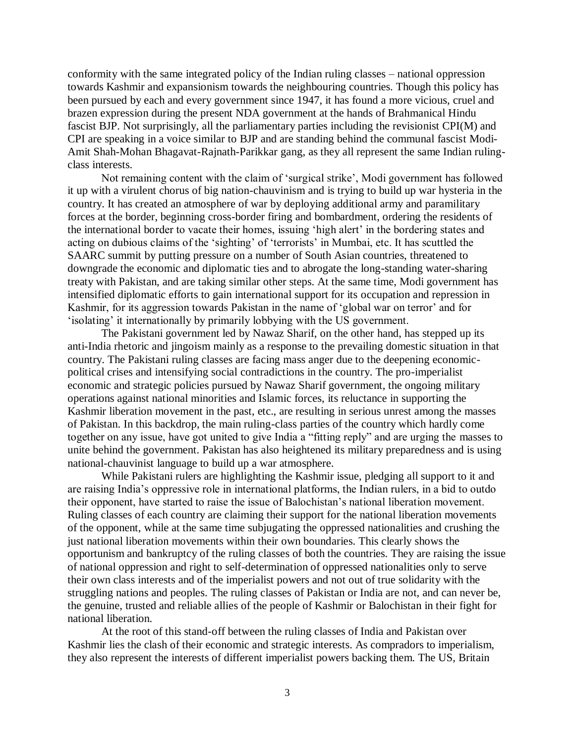conformity with the same integrated policy of the Indian ruling classes – national oppression towards Kashmir and expansionism towards the neighbouring countries. Though this policy has been pursued by each and every government since 1947, it has found a more vicious, cruel and brazen expression during the present NDA government at the hands of Brahmanical Hindu fascist BJP. Not surprisingly, all the parliamentary parties including the revisionist CPI(M) and CPI are speaking in a voice similar to BJP and are standing behind the communal fascist Modi-Amit Shah-Mohan Bhagavat-Rajnath-Parikkar gang, as they all represent the same Indian rulingclass interests.

Not remaining content with the claim of 'surgical strike', Modi government has followed it up with a virulent chorus of big nation-chauvinism and is trying to build up war hysteria in the country. It has created an atmosphere of war by deploying additional army and paramilitary forces at the border, beginning cross-border firing and bombardment, ordering the residents of the international border to vacate their homes, issuing 'high alert' in the bordering states and acting on dubious claims of the 'sighting' of 'terrorists' in Mumbai, etc. It has scuttled the SAARC summit by putting pressure on a number of South Asian countries, threatened to downgrade the economic and diplomatic ties and to abrogate the long-standing water-sharing treaty with Pakistan, and are taking similar other steps. At the same time, Modi government has intensified diplomatic efforts to gain international support for its occupation and repression in Kashmir, for its aggression towards Pakistan in the name of 'global war on terror' and for 'isolating' it internationally by primarily lobbying with the US government.

The Pakistani government led by Nawaz Sharif, on the other hand, has stepped up its anti-India rhetoric and jingoism mainly as a response to the prevailing domestic situation in that country. The Pakistani ruling classes are facing mass anger due to the deepening economicpolitical crises and intensifying social contradictions in the country. The pro-imperialist economic and strategic policies pursued by Nawaz Sharif government, the ongoing military operations against national minorities and Islamic forces, its reluctance in supporting the Kashmir liberation movement in the past, etc., are resulting in serious unrest among the masses of Pakistan. In this backdrop, the main ruling-class parties of the country which hardly come together on any issue, have got united to give India a "fitting reply" and are urging the masses to unite behind the government. Pakistan has also heightened its military preparedness and is using national-chauvinist language to build up a war atmosphere.

While Pakistani rulers are highlighting the Kashmir issue, pledging all support to it and are raising India's oppressive role in international platforms, the Indian rulers, in a bid to outdo their opponent, have started to raise the issue of Balochistan's national liberation movement. Ruling classes of each country are claiming their support for the national liberation movements of the opponent, while at the same time subjugating the oppressed nationalities and crushing the just national liberation movements within their own boundaries. This clearly shows the opportunism and bankruptcy of the ruling classes of both the countries. They are raising the issue of national oppression and right to self-determination of oppressed nationalities only to serve their own class interests and of the imperialist powers and not out of true solidarity with the struggling nations and peoples. The ruling classes of Pakistan or India are not, and can never be, the genuine, trusted and reliable allies of the people of Kashmir or Balochistan in their fight for national liberation.

At the root of this stand-off between the ruling classes of India and Pakistan over Kashmir lies the clash of their economic and strategic interests. As compradors to imperialism, they also represent the interests of different imperialist powers backing them. The US, Britain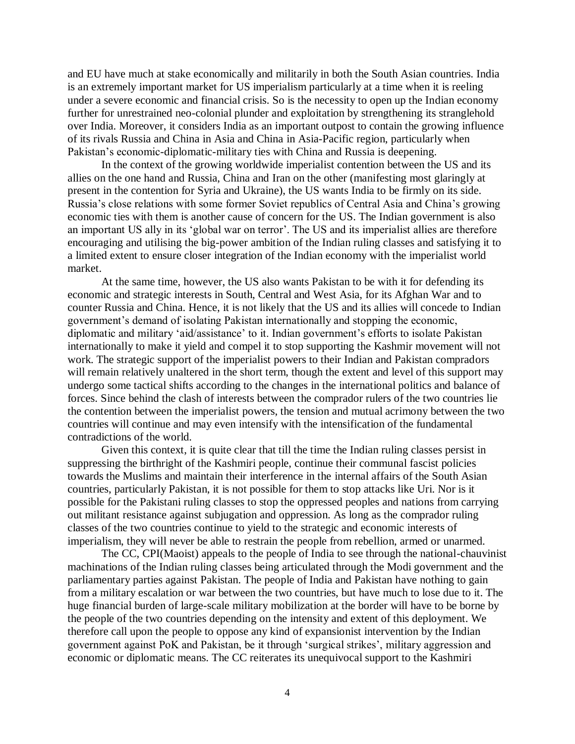and EU have much at stake economically and militarily in both the South Asian countries. India is an extremely important market for US imperialism particularly at a time when it is reeling under a severe economic and financial crisis. So is the necessity to open up the Indian economy further for unrestrained neo-colonial plunder and exploitation by strengthening its stranglehold over India. Moreover, it considers India as an important outpost to contain the growing influence of its rivals Russia and China in Asia and China in Asia-Pacific region, particularly when Pakistan's economic-diplomatic-military ties with China and Russia is deepening.

In the context of the growing worldwide imperialist contention between the US and its allies on the one hand and Russia, China and Iran on the other (manifesting most glaringly at present in the contention for Syria and Ukraine), the US wants India to be firmly on its side. Russia's close relations with some former Soviet republics of Central Asia and China's growing economic ties with them is another cause of concern for the US. The Indian government is also an important US ally in its 'global war on terror'. The US and its imperialist allies are therefore encouraging and utilising the big-power ambition of the Indian ruling classes and satisfying it to a limited extent to ensure closer integration of the Indian economy with the imperialist world market.

At the same time, however, the US also wants Pakistan to be with it for defending its economic and strategic interests in South, Central and West Asia, for its Afghan War and to counter Russia and China. Hence, it is not likely that the US and its allies will concede to Indian government's demand of isolating Pakistan internationally and stopping the economic, diplomatic and military 'aid/assistance' to it. Indian government's efforts to isolate Pakistan internationally to make it yield and compel it to stop supporting the Kashmir movement will not work. The strategic support of the imperialist powers to their Indian and Pakistan compradors will remain relatively unaltered in the short term, though the extent and level of this support may undergo some tactical shifts according to the changes in the international politics and balance of forces. Since behind the clash of interests between the comprador rulers of the two countries lie the contention between the imperialist powers, the tension and mutual acrimony between the two countries will continue and may even intensify with the intensification of the fundamental contradictions of the world.

Given this context, it is quite clear that till the time the Indian ruling classes persist in suppressing the birthright of the Kashmiri people, continue their communal fascist policies towards the Muslims and maintain their interference in the internal affairs of the South Asian countries, particularly Pakistan, it is not possible for them to stop attacks like Uri. Nor is it possible for the Pakistani ruling classes to stop the oppressed peoples and nations from carrying out militant resistance against subjugation and oppression. As long as the comprador ruling classes of the two countries continue to yield to the strategic and economic interests of imperialism, they will never be able to restrain the people from rebellion, armed or unarmed.

The CC, CPI(Maoist) appeals to the people of India to see through the national-chauvinist machinations of the Indian ruling classes being articulated through the Modi government and the parliamentary parties against Pakistan. The people of India and Pakistan have nothing to gain from a military escalation or war between the two countries, but have much to lose due to it. The huge financial burden of large-scale military mobilization at the border will have to be borne by the people of the two countries depending on the intensity and extent of this deployment. We therefore call upon the people to oppose any kind of expansionist intervention by the Indian government against PoK and Pakistan, be it through 'surgical strikes', military aggression and economic or diplomatic means. The CC reiterates its unequivocal support to the Kashmiri